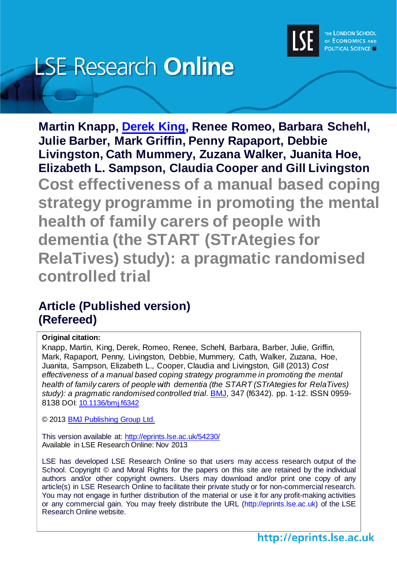

# **LSE Research Online**

**Martin Knapp, [Derek King,](http://www.lse.ac.uk/researchAndExpertise/Experts/profile.aspx?KeyValue=d.king@lse.ac.uk) Renee Romeo, Barbara Schehl, Julie Barber, Mark Griffin, Penny Rapaport, Debbie Livingston, Cath Mummery, Zuzana Walker, Juanita Hoe, Elizabeth L. Sampson, Claudia Cooper and Gill Livingston Cost effectiveness of a manual based coping strategy programme in promoting the mental health of family carers of people with dementia (the START (STrAtegies for RelaTives) study): a pragmatic randomised controlled trial**

# **Article (Published version) (Refereed)**

## **Original citation:**

Knapp, Martin, King, Derek, Romeo, Renee, Schehl, Barbara, Barber, Julie, Griffin, Mark, Rapaport, Penny, Livingston, Debbie, Mummery, Cath, Walker, Zuzana, Hoe, Juanita, Sampson, Elizabeth L., Cooper, Claudia and Livingston, Gill (2013) *Cost effectiveness of a manual based coping strategy programme in promoting the mental health of family carers of people with dementia (the START (STrAtegies for RelaTives) study): a pragmatic randomised controlled trial.* [BMJ,](http://www.bmj.com/) 347 (f6342). pp. 1-12. ISSN 0959- 8138 DOI: [10.1136/bmj.f6342](http://dx.doi.org/10.1136/bmj.f6342)

© 2013 [BMJ Publishing Group Ltd.](http://group.bmj.com/)

This version available at:<http://eprints.lse.ac.uk/54230/> Available in LSE Research Online: Nov 2013

LSE has developed LSE Research Online so that users may access research output of the School. Copyright © and Moral Rights for the papers on this site are retained by the individual authors and/or other copyright owners. Users may download and/or print one copy of any article(s) in LSE Research Online to facilitate their private study or for non-commercial research. You may not engage in further distribution of the material or use it for any profit-making activities or any commercial gain. You may freely distribute the URL (http://eprints.lse.ac.uk) of the LSE Research Online website.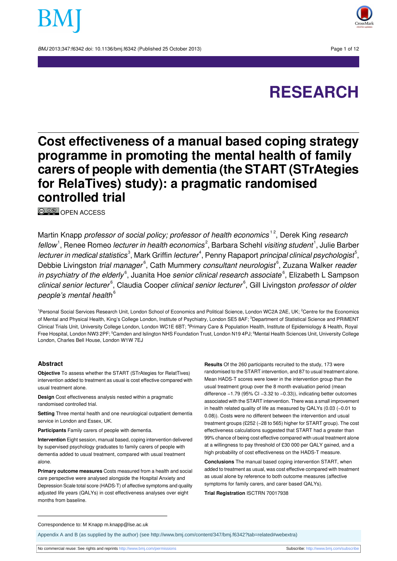BMJ 2013:347:f6342 doi: 10.1136/bmi.f6342 (Published 25 October 2013) Page 1 of 12





# **Cost effectiveness of a manual based coping strategy programme in promoting the mental health of family carers of people with dementia (the START (STrAtegies for RelaTives) study): a pragmatic randomised controlled trial**

**© 00** OPEN [ACCESS](http://creativecommons.org/licenses/by-nc/3.0/)

Martin Knapp *professor of social policy; professor of health economics* <sup>12</sup>, Derek King *research* fellow<sup>1</sup>, Renee Romeo *lecturer in health economics<sup>2</sup>,* Barbara Schehl *visiting student<sup>1</sup>, J*ulie Barber lecturer in medical statistics $^{\text{\tiny 3}}$ , Mark Griffin lecturer $^{\text{\tiny 4}}$ , Penny Rapaport *principal clinical psychologist* $^{\text{\tiny 5}}$ , Debbie Livingston *trial manager*<sup>6</sup>, Cath Mummery *consultant neurologist*<sup>6</sup>, Zuzana Walker *reader in psychiatry of the elderly*<sup>6</sup>, Juanita Hoe *senior clinical research associate*<sup>6</sup>, Elizabeth L Sampson clinical senior lecturer<sup>6</sup>, Claudia Cooper clinical senior lecturer<sup>6</sup>, Gill Livingston professor of older people's mental health<sup>6</sup>

<sup>1</sup>Personal Social Services Research Unit, London School of Economics and Political Science, London WC2A 2AE, UK; <sup>2</sup>Centre for the Economics of Mental and Physical Health, King's College London, Institute of Psychiatry, London SE5 8AF; <sup>3</sup>Department of Statistical Science and PRIMENT Clinical Trials Unit, University College London, London WC1E 6BT; <sup>4</sup>Primary Care & Population Health, Institute of Epidemiology & Health, Royal Free Hospital, London NW3 2PF; <sup>5</sup>Camden and Islington NHS Foundation Trust, London N19 4PJ; <sup>6</sup>Mental Health Sciences Unit, University College London, Charles Bell House, London W1W 7EJ

#### **Abstract**

**Objective** To assess whether the START (STrAtegies for RelatTives) intervention added to treatment as usual is cost effective compared with usual treatment alone.

**Design** Cost effectiveness analysis nested within a pragmatic randomised controlled trial.

**Setting** Three mental health and one neurological outpatient dementia service in London and Essex, UK.

**Participants** Family carers of people with dementia.

**Intervention** Eight session, manual based, coping intervention delivered by supervised psychology graduates to family carers of people with dementia added to usual treatment, compared with usual treatment alone.

**Primary outcome measures** Costs measured from a health and social care perspective were analysed alongside the Hospital Anxiety and Depression Scale total score (HADS-T) of affective symptoms and quality adjusted life years (QALYs) in cost effectiveness analyses over eight months from baseline.

**Results** Of the 260 participants recruited to the study, 173 were randomised to the START intervention, and 87 to usual treatment alone. Mean HADS-T scores were lower in the intervention group than the usual treatment group over the 8 month evaluation period (mean difference −1.79 (95% CI −3.32 to −0.33)), indicating better outcomes associated with the START intervention. There was a small improvement in health related quality of life as measured by QALYs (0.03 (−0.01 to 0.08)). Costs were no different between the intervention and usual treatment groups (£252 (−28 to 565) higher for START group). The cost effectiveness calculations suggested that START had a greater than 99% chance of being cost effective compared with usual treatment alone at a willingness to pay threshold of £30 000 per QALY gained, and a high probability of cost effectiveness on the HADS-T measure.

**Conclusions** The manual based coping intervention START, when added to treatment as usual, was cost effective compared with treatment as usual alone by reference to both outcome measures (affective symptoms for family carers, and carer based QALYs).

**Trial Registration** ISCTRN 70017938

Correspondence to: M Knapp m.knapp@lse.ac.uk

Appendix A and B (as supplied by the author) (see [http://www.bmj.com/content/347/bmj.f6342?tab=related#webextra\)](http://www.bmj.com/content/347/bmj.f6342?tab=related#webextra)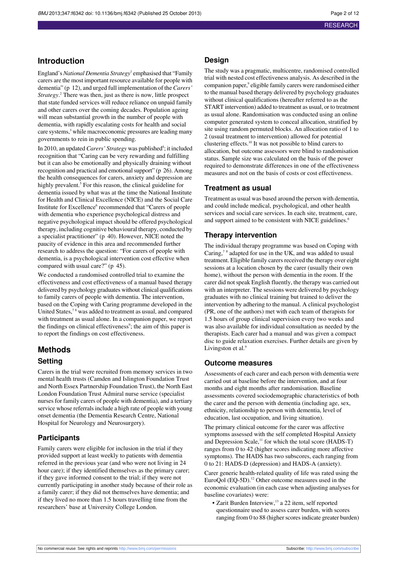#### **Introduction**

England's *National Dementia Strategy*<sup>1</sup> emphasised that "Family carers are the most important resource available for people with dementia" (p 12), and urged full implementation of the *Carers' Strategy*. <sup>2</sup> There was then, just as there is now, little prospect that state funded services will reduce reliance on unpaid family and other carers over the coming decades. Population ageing will mean substantial growth in the number of people with dementia, with rapidly escalating costs for health and social care systems,<sup>3</sup> while macroeconomic pressures are leading many governments to rein in public spending.

In 2010, an updated *Carers' Strategy* was published<sup>4</sup>; it included recognition that "Caring can be very rewarding and fulfilling but it can also be emotionally and physically draining without recognition and practical and emotionalsupport" (p 26). Among the health consequences for carers, anxiety and depression are highly prevalent.<sup>5</sup> For this reason, the clinical guideline for dementia issued by what was at the time the National Institute for Health and Clinical Excellence (NICE) and the Social Care Institute for Excellence<sup>6</sup> recommended that "Carers of people with dementia who experience psychological distress and negative psychological impact should be offered psychological therapy, including cognitive behavioural therapy, conducted by a specialist practitioner" (p 40). However, NICE noted the paucity of evidence in this area and recommended further research to address the question: "For carers of people with dementia, is a psychological intervention cost effective when compared with usual care?" (p 45).

We conducted a randomised controlled trial to examine the effectiveness and cost effectiveness of a manual based therapy delivered by psychology graduates without clinical qualifications to family carers of people with dementia. The intervention, based on the Coping with Caring programme developed in the United States,<sup>78</sup> was added to treatment as usual, and compared with treatment as usual alone. In a companion paper, we report the findings on clinical effectiveness<sup>9</sup>; the aim of this paper is to report the findings on cost effectiveness.

## **Methods Setting**

Carers in the trial were recruited from memory services in two mental health trusts (Camden and Islington Foundation Trust and North Essex Partnership Foundation Trust), the North East London Foundation Trust Admiral nurse service (specialist nurses for family carers of people with dementia), and a tertiary service whose referrals include a high rate of people with young onset dementia (the Dementia Research Centre, National Hospital for Neurology and Neurosurgery).

#### **Participants**

Family carers were eligible for inclusion in the trial if they provided support at least weekly to patients with dementia referred in the previous year (and who were not living in 24 hour care); if they identified themselves as the primary carer; if they gave informed consent to the trial; if they were not currently participating in another study because of their role as a family carer; if they did not themselves have dementia; and if they lived no more than 1.5 hours travelling time from the researchers' base at University College London.

#### **Design**

The study was a pragmatic, multicentre, randomised controlled trial with nested cost effectiveness analysis. As described in the companion paper,<sup>9</sup> eligible family carers were randomised either to the manual based therapy delivered by psychology graduates without clinical qualifications (hereafter referred to as the START intervention) added to treatment as usual, or to treatment as usual alone. Randomisation was conducted using an online computer generated system to conceal allocation, stratified by site using random permuted blocks. An allocation ratio of 1 to 2 (usual treatment to intervention) allowed for potential clustering effects.<sup>10</sup> It was not possible to blind carers to allocation, but outcome assessors were blind to randomisation status. Sample size was calculated on the basis of the power required to demonstrate differences in one of the effectiveness measures and not on the basis of costs or cost effectiveness.

#### **Treatment as usual**

Treatment as usual was based around the person with dementia, and could include medical, psychological, and other health services and social care services. In each site, treatment, care, and support aimed to be consistent with NICE guidelines.<sup>6</sup>

#### **Therapy intervention**

The individual therapy programme was based on Coping with Caring, $7^{\circ}$  adapted for use in the UK, and was added to usual treatment. Eligible family carers received the therapy over eight sessions at a location chosen by the carer (usually their own home), without the person with dementia in the room. If the carer did not speak English fluently, the therapy was carried out with an interpreter. The sessions were delivered by psychology graduates with no clinical training but trained to deliver the intervention by adhering to the manual. A clinical psychologist (PR, one of the authors) met with each team of therapists for 1.5 hours of group clinical supervision every two weeks and was also available for individual consultation as needed by the therapists. Each carer had a manual and was given a compact disc to guide relaxation exercises. Further details are given by Livingston et al.<sup>9</sup>

#### **Outcome measures**

Assessments of each carer and each person with dementia were carried out at baseline before the intervention, and at four months and eight months after randomisation. Baseline assessments covered sociodemographic characteristics of both the carer and the person with dementia (including age, sex, ethnicity, relationship to person with dementia, level of education, last occupation, and living situation).

The primary clinical outcome for the carer was affective symptoms assessed with the self completed Hospital Anxiety and Depression Scale,<sup>11</sup> for which the total score (HADS-T) ranges from 0 to 42 (higher scores indicating more affective symptoms). The HADS has two subscores, each ranging from 0 to 21: HADS-D (depression) and HADS-A (anxiety).

Carer generic health-related quality of life was rated using the EuroQol (EQ-5D).<sup>12</sup> Other outcome measures used in the economic evaluation (in each case when adjusting analyses for baseline covariates) were:

• Zarit Burden Interview,<sup>13</sup> a 22 item, self reported questionnaire used to assess carer burden, with scores ranging from 0 to 88 (higher scores indicate greater burden)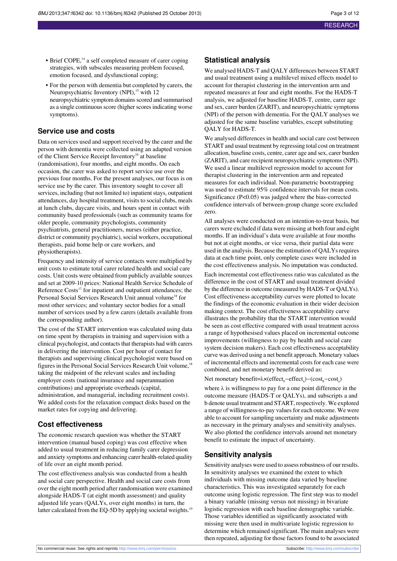- Brief COPE,<sup>14</sup> a self completed measure of carer coping strategies, with subscales measuring problem focused, emotion focused, and dysfunctional coping;
- **•** For the person with dementia but completed by carers, the Neuropsychiatric Inventory (NPI),<sup>15</sup> with 12 neuropsychiatric symptom domains scored and summarised as a single continuous score (higher scores indicating worse symptoms).

#### **Service use and costs**

Data on services used and support received by the carer and the person with dementia were collected using an adapted version of the Client Service Receipt Inventory<sup>16</sup> at baseline (randomisation), four months, and eight months. On each occasion, the carer was asked to report service use over the previous four months. For the present analyses, our focus is on service use by the carer. This inventory sought to cover all services, including (but not limited to) inpatient stays, outpatient attendances, day hospital treatment, visits to social clubs, meals at lunch clubs, daycare visits, and hours spent in contact with community based professionals (such as community teams for older people, community psychologists, community psychiatrists, general practitioners, nurses (either practice, district or community psychiatric), social workers, occupational therapists, paid home help or care workers, and physiotherapists).

Frequency and intensity of service contacts were multiplied by unit costs to estimate total carer related health and social care costs. Unit costs were obtained from publicly available sources and set at 2009-10 prices: National Health Service Schedule of Reference Costs<sup>17</sup> for inpatient and outpatient attendances; the Personal Social Services Research Unit annual volume<sup>18</sup> for most other services; and voluntary sector bodies for a small number of services used by a few carers (details available from the corresponding author).

The cost of the START intervention was calculated using data on time spent by therapists in training and supervision with a clinical psychologist, and contacts that therapists had with carers in delivering the intervention. Cost per hour of contact for therapists and supervising clinical psychologist were based on figures in the Personal Social Services Research Unit volume,<sup>18</sup> taking the midpoint of the relevant scales and including employer costs (national insurance and superannuation contributions) and appropriate overheads (capital, administration, and managerial, including recruitment costs). We added costs for the relaxation compact disks based on the market rates for copying and delivering.

#### **Cost effectiveness**

The economic research question was whether the START intervention (manual based coping) was cost effective when added to usual treatment in reducing family carer depression and anxiety symptoms and enhancing carer health-related quality of life over an eight month period.

The cost effectiveness analysis was conducted from a health and social care perspective. Health and social care costs from over the eight month period after randomisation were examined alongside HADS-T (at eight month assessment) and quality adjusted life years (QALYs, over eight months) in turn, the latter calculated from the EQ-5D by applying societal weights.<sup>19</sup>

#### **Statistical analysis**

We analysed HADS-T and QALY differences between START and usual treatment using a multilevel mixed effects model to account for therapist clustering in the intervention arm and repeated measures at four and eight months. For the HADS-T analysis, we adjusted for baseline HADS-T, centre, carer age and sex, carer burden (ZARIT), and neuropsychiatric symptoms (NPI) of the person with dementia. For the QALY analyses we adjusted for the same baseline variables, except substituting QALY for HADS-T.

We analysed differences in health and social care cost between START and usual treatment by regressing total cost on treatment allocation, baseline costs, centre, carer age and sex, carer burden (ZARIT), and care recipient neuropsychiatric symptoms (NPI). We used a linear multilevel regression model to account for therapist clustering in the intervention arm and repeated measures for each individual. Non-parametric bootstrapping was used to estimate 95% confidence intervals for mean costs. Significance (P<0.05) was judged where the bias-corrected confidence intervals of between-group change score excluded zero.

All analyses were conducted on an intention-to-treat basis, but carers were excluded if data were missing at both four and eight months. If an individual's data were available at four months but not at eight months, or vice versa, their partial data were used in the analysis. Because the estimation of QALYs requires data at each time point, only complete cases were included in the cost effectiveness analysis. No imputation was conducted.

Each incremental cost effectiveness ratio was calculated as the difference in the cost of START and usual treatment divided by the difference in outcome (measured by HADS-T or QALYs). Cost effectiveness acceptability curves were plotted to locate the findings of the economic evaluation in their wider decision making context. The cost effectiveness acceptability curve illustrates the probability that the START intervention would be seen as cost effective compared with usual treatment across a range of hypothesised values placed on incremental outcome improvements (willingness to pay by health and social care system decision makers). Each cost effectiveness acceptability curve was derived using a net benefit approach. Monetary values of incremental effects and incremental costs for each case were combined, and net monetary benefit derived as:

#### Net monetary benefit=λ×(effect<sub>b</sub>−effect<sub>a</sub>)–(cost<sub>b</sub>–cost<sub>a</sub>)

where  $\lambda$  is willingness to pay for a one point difference in the outcome measure (HADS-T or QALYs), and subscripts a and b denote usual treatment and START, respectively. We explored a range of willingness-to-pay values for each outcome. We were able to account for sampling uncertainty and make adjustments as necessary in the primary analyses and sensitivity analyses. We also plotted the confidence intervals around net monetary benefit to estimate the impact of uncertainty.

#### **Sensitivity analysis**

Sensitivity analyses were used to assess robustness of our results. In sensitivity analyses we examined the extent to which individuals with missing outcome data varied by baseline characteristics. This was investigated separately for each outcome using logistic regression. The first step was to model a binary variable (missing versus not missing) in bivariate logistic regression with each baseline demographic variable. Those variables identified as significantly associated with missing were then used in multivariate logistic regression to determine which remained significant. The main analyses were then repeated, adjusting for those factors found to be associated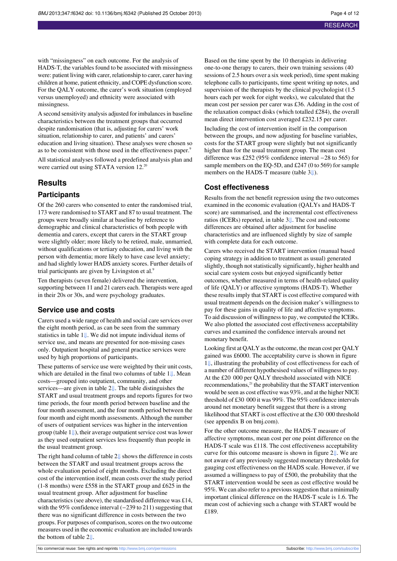with "missingness" on each outcome. For the analysis of HADS-T, the variables found to be associated with missingness were: patient living with carer, relationship to carer, carer having children at home, patient ethnicity, and COPE dysfunction score. For the QALY outcome, the carer's work situation (employed versus unemployed) and ethnicity were associated with missingness.

A second sensitivity analysis adjusted for imbalances in baseline characteristics between the treatment groups that occurred despite randomisation (that is, adjusting for carers' work situation, relationship to carer, and patients' and carers' education and living situation). These analyses were chosen so as to be consistent with those used in the effectiveness paper.<sup>9</sup>

All statistical analyses followed a predefined analysis plan and were carried out using STATA version 12.<sup>20</sup>

#### **Results**

#### **Participants**

Of the 260 carers who consented to enter the randomised trial, 173 were randomised to START and 87 to usual treatment. The groups were broadly similar at baseline by reference to demographic and clinical characteristics of both people with dementia and carers, except that carers in the START group were slightly older; more likely to be retired, male, unmarried, without qualifications or tertiary education, and living with the person with dementia; more likely to have case level anxiety; and had slightly lower HADS anxiety scores. Further details of trial participants are given by Livingston et al.<sup>9</sup>

Ten therapists (seven female) delivered the intervention, supporting between 11 and 21 carers each. Therapists were aged in their 20s or 30s, and were psychology graduates.

#### **Service use and costs**

Carers used a wide range of health and social care services over the eight month period, as can be seen from the summary statistics in table 1[⇓.](#page-7-0) We did not impute individual items of service use, and means are presented for non-missing cases only. Outpatient hospital and general practice services were used by high proportions of participants.

These patterns of service use were weighted by their unit costs, which are detailed in the final two columns of table [1⇓](#page-7-0). Mean costs—grouped into outpatient, community, and other services—are given in table [2⇓](#page-8-0). The table distinguishes the START and usual treatment groups and reports figures for two time periods, the four month period between baseline and the four month assessment, and the four month period between the four month and eight month assessments. Although the number of users of outpatient services was higher in the intervention group (table  $1 \Downarrow$ ), their average outpatient service cost was lower as they used outpatient services less frequently than people in the usual treatment group.

The right hand column of table [2⇓](#page-8-0) shows the difference in costs between the START and usual treatment groups across the whole evaluation period of eight months. Excluding the direct cost of the intervention itself, mean costs over the study period (1-8 months) were £558 in the START group and £625 in the usual treatment group. After adjustment for baseline characteristics (see above), the standardised difference was £14, with the 95% confidence interval (−239 to 211) suggesting that there was no significant difference in costs between the two groups. For purposes of comparison, scores on the two outcome measures used in the economic evaluation are included towards the bottom of table [2⇓](#page-8-0).

Based on the time spent by the 10 therapists in delivering one-to-one therapy to carers, their own training sessions (40 sessions of 2.5 hours over a six week period), time spent making telephone calls to participants, time spent writing up notes, and supervision of the therapists by the clinical psychologist  $(1.5)$ hours each per week for eight weeks), we calculated that the mean cost per session per carer was £36. Adding in the cost of the relaxation compact disks (which totalled £284), the overall mean direct intervention cost averaged £232.15 per carer.

Including the cost of intervention itself in the comparison between the groups, and now adjusting for baseline variables, costs for the START group were slightly but not significantly higher than for the usual treatment group. The mean cost difference was £252 (95% confidence interval −28 to 565) for sample members on the EQ-5D, and £247 (0 to 569) for sample members on the HADS-T measure (table [3⇓](#page-9-0)).

#### **Cost effectiveness**

Results from the net benefit regression using the two outcomes examined in the economic evaluation (QALYs and HADS-T score) are summarised, and the incremental cost effectiveness ratios (ICERs) reported, in table [3⇓](#page-9-0). The cost and outcome differences are obtained after adjustment for baseline characteristics and are influenced slightly by size of sample with complete data for each outcome.

Carers who received the START intervention (manual based coping strategy in addition to treatment as usual) generated slightly, though not statistically significantly, higher health and social care system costs but enjoyed significantly better outcomes, whether measured in terms of health-related quality of life (QALY) or affective symptoms (HADS-T). Whether these results imply that START is cost effective compared with usual treatment depends on the decision maker's willingness to pay for these gains in quality of life and affective symptoms. To aid discussion of willingnessto pay, we computed the ICERs. We also plotted the associated cost effectiveness acceptability curves and examined the confidence intervals around net monetary benefit.

Looking first at QALY as the outcome, the mean cost per QALY gained was £6000. The acceptability curve is shown in figure [1⇓](#page-11-0), illustrating the probability of cost effectiveness for each of a number of different hypothesised values of willingnessto pay. At the £20 000 per QALY threshold associated with NICE recommendations,<sup>21</sup> the probability that the START intervention would be seen as cost effective was 93%, and at the higher NICE threshold of £30 000 it was 99%. The 95% confidence intervals around net monetary benefit suggest that there is a strong likelihood that START is cost effective at the £30 000 threshold (see appendix B on bmj.com).

For the other outcome measure, the HADS-T measure of affective symptoms, mean cost per one point difference on the HADS-T scale was £118. The cost effectiveness acceptability curve for this outcome measure is shown in figure [2⇓](#page-11-1). We are not aware of any previously suggested monetary thresholds for gauging cost effectiveness on the HADS scale. However, if we assumed a willingness to pay of £500, the probability that the START intervention would be seen as cost effective would be 95%. We can also refer to a previoussuggestion that a minimally important clinical difference on the HADS-T scale is 1.6. The mean cost of achieving such a change with START would be £189.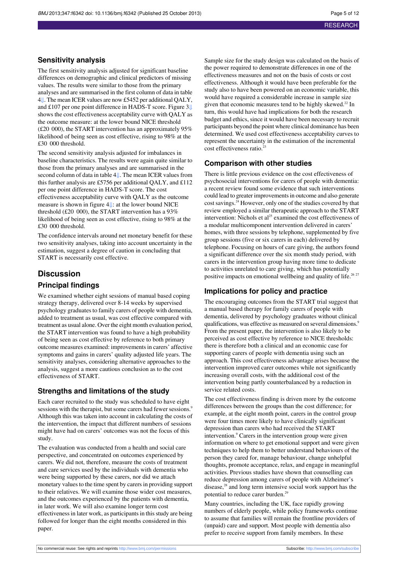#### **Sensitivity analysis**

The first sensitivity analysis adjusted for significant baseline differences on demographic and clinical predictors of missing values. The results were similar to those from the primary analyses and are summarised in the first column of data in table [4⇓](#page-10-0). The mean ICER values are now £5452 per additional QALY, and £107 per one point difference in HADS-T score. Figure 3[⇓](#page-11-2) shows the cost effectiveness acceptability curve with QALY as the outcome measure: at the lower bound NICE threshold (£20 000), the START intervention has an approximately 95% likelihood of being seen as cost effective, rising to 98% at the £30 000 threshold.

The second sensitivity analysis adjusted for imbalances in baseline characteristics. The results were again quite similar to those from the primary analyses and are summarised in the second column of data in table [4⇓.](#page-10-0) The mean ICER values from this further analysis are £5756 per additional QALY, and £112 per one point difference in HADS-T score. The cost effectiveness acceptability curve with QALY as the outcome measure is shown in figure 4[⇓:](#page-12-0) at the lower bound NICE threshold (£20 000), the START intervention has a 93% likelihood of being seen as cost effective, rising to 98% at the £30 000 threshold.

The confidence intervals around net monetary benefit for these two sensitivity analyses, taking into account uncertainty in the estimation, suggest a degree of caution in concluding that START is necessarily cost effective.

#### **Discussion**

#### **Principal findings**

We examined whether eight sessions of manual based coping strategy therapy, delivered over 8-14 weeks by supervised psychology graduates to family carers of people with dementia, added to treatment as usual, was cost effective compared with treatment as usual alone. Over the eight month evaluation period, the START intervention was found to have a high probability of being seen as cost effective by reference to both primary outcome measures examined: improvementsin carers' affective symptoms and gains in carers' quality adjusted life years. The sensitivity analyses, considering alternative approaches to the analysis, suggest a more cautious conclusion as to the cost effectiveness of START.

#### **Strengths and limitations of the study**

Each carer recruited to the study was scheduled to have eight sessions with the therapist, but some carers had fewer sessions.<sup>9</sup> Although this was taken into account in calculating the costs of the intervention, the impact that different numbers of sessions might have had on carers' outcomes was not the focus of this study.

The evaluation was conducted from a health and social care perspective, and concentrated on outcomes experienced by carers. We did not, therefore, measure the costs of treatment and care services used by the individuals with dementia who were being supported by these carers, nor did we attach monetary values to the time spent by carers in providing support to their relatives. We will examine those wider cost measures, and the outcomes experienced by the patients with dementia, in later work. We will also examine longer term cost effectiveness in later work, as participants in this study are being followed for longer than the eight months considered in this paper.

Sample size for the study design was calculated on the basis of the power required to demonstrate differences in one of the effectiveness measures and not on the basis of costs or cost effectiveness. Although it would have been preferable for the study also to have been powered on an economic variable, this would have required a considerable increase in sample size given that economic measures tend to be highly skewed. $^{22}$  In turn, this would have had implications for both the research budget and ethics, since it would have been necessary to recruit participants beyond the point where clinical dominance has been determined. We used cost effectiveness acceptability curves to represent the uncertainty in the estimation of the incremental cost effectiveness ratio.<sup>23</sup>

#### **Comparison with other studies**

There is little previous evidence on the cost effectiveness of psychosocial interventions for carers of people with dementia: a recent review found some evidence that such interventions could lead to greater improvements in outcome and also generate cost savings.<sup>24</sup> However, only one of the studies covered by that review employed a similar therapeutic approach to the START intervention: Nichols et al<sup>25</sup> examined the cost effectiveness of a modular multicomponent intervention delivered in carers' homes, with three sessions by telephone, supplemented by five group sessions (five or six carers in each) delivered by telephone. Focusing on hours of care giving, the authors found a significant difference over the six month study period, with carers in the intervention group having more time to dedicate to activities unrelated to care giving, which has potentially positive impacts on emotional wellbeing and quality of life.<sup>26 27</sup>

#### **Implications for policy and practice**

The encouraging outcomes from the START trial suggest that a manual based therapy for family carers of people with dementia, delivered by psychology graduates without clinical qualifications, was effective as measured on several dimensions.<sup>9</sup> From the present paper, the intervention is also likely to be perceived as cost effective by reference to NICE thresholds: there is therefore both a clinical and an economic case for supporting carers of people with dementia using such an approach. This cost effectiveness advantage arises because the intervention improved carer outcomes while not significantly increasing overall costs, with the additional cost of the intervention being partly counterbalanced by a reduction in service related costs.

The cost effectiveness finding is driven more by the outcome differences between the groups than the cost difference; for example, at the eight month point, carers in the control group were four times more likely to have clinically significant depression than carers who had received the START intervention.<sup>9</sup> Carers in the intervention group were given information on where to get emotional support and were given techniques to help them to better understand behaviours of the person they cared for, manage behaviour, change unhelpful thoughts, promote acceptance, relax, and engage in meaningful activities. Previous studies have shown that counselling can reduce depression among carers of people with Alzheimer's disease,<sup>28</sup> and long term intensive social work support has the potential to reduce carer burden.<sup>29</sup>

Many countries, including the UK, face rapidly growing numbers of elderly people, while policy frameworks continue to assume that families will remain the frontline providers of (unpaid) care and support. Most people with dementia also prefer to receive support from family members. In these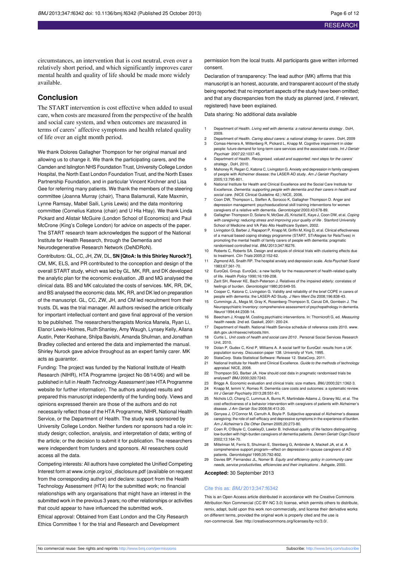circumstances, an intervention that is cost neutral, even over a relatively short period, and which significantly improves carer mental health and quality of life should be made more widely available.

#### **Conclusion**

The START intervention is cost effective when added to usual care, when costs are measured from the perspective of the health and social care system, and when outcomes are measured in terms of carers' affective symptoms and health related quality of life over an eight month period.

We thank Dolores Gallagher Thompson for her original manual and allowing us to change it. We thank the participating carers, and the Camden and Islington NHS Foundation Trust, University College London Hospital, the North East London Foundation Trust, and the North Essex Partnership Foundation, and in particular Vincent Kirchner and Lisa Gee for referring many patients. We thank the members of the steering committee (Joanna Murray (chair), Thana Balamurali, Kate Maxmin, Lynne Ramsay, Mabel Saili, Lynis Lewis) and the data monitoring committee (Cornelius Katona (chair) and U Hla Htay). We thank Linda Pickard and Alistair McGuire (London School of Economics) and Paul McCrone (King's College London) for advice on aspects of the paper. The START research team acknowledges the support of the National Institute for Health Research, through the Dementia and Neurodegenerative Research Network (DeNDRoN).

Contributors: GL, CC, JH, ZW, DL, **SN [QtoA: Is this Shirley Nurock?]**, CM, MK, ELS, and PR contributed to the conception and design of the overall START study, which was led by GL. MK, RR, and DK developed the analytic plan for the economic evaluation. JB and MG analysed the clinical data. BS and MK calculated the costs of services. MK, RR, DK, and BS analysed the economic data. MK, RR, and DK led on preparation of the manuscript. GL, CC, ZW, JH, and CM led recruitment from their trusts. DL was the trial manager. All authors revised the article critically for important intellectual content and gave final approval of the version to be published. The researchers/therapists Monica Manela, Ryan Li, Elanor Lewis-Holmes, Ruth Shanley, Amy Waugh, Lynsey Kelly, Allana Austin, Peter Keohane, Shilpa Bavishi, Amanda Shulman, and Jonathan Bradley collected and entered the data and implemented the manual. Shirley Nurock gave advice throughout as an expert family carer. MK acts as guarantor.

Funding: The project was funded by the National Institute of Health Research (NIHR), HTA Programme (project No 08/14/06) and will be published in full in Health Technology Assessment (see HTA Programme website for further information). The authors analysed results and prepared this manuscript independently of the funding body. Views and opinions expressed therein are those of the authors and do not necessarily reflect those of the HTA Programme, NIHR, National Health Service, or the Department of Health. The study was sponsored by University College London. Neither funders nor sponsors had a role in: study design; collection, analysis, and interpretation of data; writing of the article; or the decision to submit it for publication. The researchers were independent from funders and sponsors. All researchers could access all the data.

Competing interests: All authors have completed the Unified Competing Interest form at [www.icmje.org/coi\\_disclosure.pdf](http://www.icmje.org/coi_disclosure.pdf) (available on request from the corresponding author) and declare: support from the Health Technology Assessment (HTA) for the submitted work; no financial relationships with any organisations that might have an interest in the submitted work in the previous 3 years; no other relationships or activities that could appear to have influenced the submitted work.

Ethical approval: Obtained from East London and the City Research Ethics Committee 1 for the trial and Research and Development

permission from the local trusts. All participants gave written informed consent.

Declaration of transparency: The lead author (MK) affirms that this manuscript is an honest, accurate, and transparent account of the study being reported; that no important aspects of the study have been omitted; and that any discrepancies from the study as planned (and, if relevant, registered) have been explained.

Data sharing: No additional data available

- 1 Department of Health. Living well with dementia: a national dementia strategy. DoH, 2009.
- 2 Department of Health. Caring about carers: a national strategy for carers . DoH, 2009<br>3 Comas-Herrera A. Wittenberg R. Pickard L. Knapp M. Cognitive impairment in older 3 Comas-Herrera A, Wittenberg R, Pickard L, Knapp M. Cognitive impairment in older people: future demand for long-term care services and the associated costs. Int J Geriatr
- Psychiatr 2007;22:1037-45. 4 Department of Health. Recognised, valued and supported: next steps for the carers' strategy . DoH, 2010.
- 5 Mahoney R, Regan C, Katona C, Livingston G. Anxiety and depression in family caregivers of people with Alzheimer disease: the LASER-AD study. Am J Geriatr Psychiatry 2005;13:795-801.
- 6 National Institute for Health and Clinical Excellence and the Social Care Institute for Excellence. Dementia: supporting people with dementia and their carers in health and<br>social care. (NICE Clinical Guideline 42.) NICE, 2006.
- Coon DW, Thompson L, Steffen A, Sorocco K, Gallagher-Thompson D. Anger and depression management: psychoeducational skill training interventions for women caregivers of a relative with dementia. Gerontologist 2003:43:678-89.
- Gallagher-Thompson D, Solano N, McGee JS, Krisztal E, Kaye J, Coon DW, et al. Coping with caregiving: reducing stress and improving your quality of life . Stanford University School of Medicine and VA Palo Alto Healthcare System, 2002.
- 9 Livingston G, Barber J, Rapaport P, Knapp M, Griffin M, King D, et al. Clinical effectiveness of a manual based coping strategy programme (START, STrAtegies for RelaTives) in promoting the mental health of family carers of people with dementia: pragmatic randomised controlled trial. BMJ 2013;347:f6276.
- 10 Roberts C, Roberts SA. Design and analysis of clinical trials with clustering effects due to treatment. Clin Trials 2005;2:152-62.
- 11 Zigmond AS, Snaith RP. The hospital anxiety and depression scale. Acta Psychiatr Scand 1983;67:361-70.
- 12 EuroQoL Group. EuroQoL: a new facility for the measurement of health-related quality of life. Health Policy 1990;16:199-208.
- 13 Zarit SH, Reever KE, Bach-Peterson J. Relatives of the impaired elderly: correlates of feelings of burden. Gerontologist 1980;20:649-55.
- 14 Cooper C, Katona C, Livingston G, Validity and reliability of the brief COPE in care people with dementia: the LASER-AD Study. J Nerv Ment Dis 2008;196:838-43.
- 15 Cummings JL, Mega M, Gray K, Rosenberg-Thompson S, Carusi DA, Gornbein J. The Neuropsychiatric Inventory: comprehensive assessment of psychopathology in dem Neurol 1994;44:2308-14.
- 16 Beecham J, Knapp M. Costing psychiatric interventions. In: Thornicroft G, ed. Measuring health needs. 2nd ed. Gaskell, 2001: 200-24.
- 17 Department of Health. National Health Service schedule of reference costs 2010. [www.](http://www.doh.gov.uk/nhsexec/refcosts.htm) [doh.gov.uk/nhsexec/refcosts.htm](http://www.doh.gov.uk/nhsexec/refcosts.htm).
- 18 Curtis L. Unit costs of health and social care 2010 . Personal Social Services Research Unit, 2010.
- 19 Dolan P, Gudex C, Kind P, Williams A. A social tariff for EuroQol: results from a UK population survey. Discussion paper 138. University of York, 1995.
- 
- 20 StataCorp. Stata Statistical Software: Release 12. StataCorp, 2011.<br>21 National Institute for Health and Clinical Excellence. Guide to the m National Institute for Health and Clinical Excellence. Guide to the methods of technology appraisal. NICE, 2008.
- 22 Thompson SG, Barber JA. How should cost data in pragmatic randomised trials be analysed? BMJ 2000;320:7243.
- 23 Briggs A. Economic evaluation and clinical trials: size matters. BMJ 2000;321:1362-3.<br>24 Knapp M. lemmi V. Romeo R. Dementia care costs and outcomes: a systematic revie 24 Knapp M, Iemmi V, Romeo R. Dementia care costs and outcomes: a systematic review. Int J Geriatr Psychiatry 2013;28:551-61.
- 25 Nichols LO, Chang C, Lummus A, Burns R, Martindale-Adams J, Graney MJ, et al. The cost-effectiveness of a behavior intervention with caregivers of patients with Alzheim disease. J Am Geriatr Soc 2008;56:413-20.
- 26 Gonyea J, O'Connor M, Carruth A, Boyle P. Subjective appraisal of Alzheimer's disease caregiving: the role of self-efficacy and depressive symptoms in the experience of burden. Am J Alzheimer's Dis Other Demen 2005;20:273-80.
- 27 Coen R, O'Boyle C, CoakleyD, Lawlor B. Individual quality of life factors distinguishing low-burden with high-burden caregivers of dementia patients. Demen Geriatr Cogn Disord 2002;13:164-70.
- 28 Mittelman M, Ferris S, Shulman E, Steinberg G, Ambinder A, Mackell JA, et al. A comprehensive support program—effect on depression in spouse caregivers of AD patients. Gerontologist 1995;35:792-802.
- Davies BP, Fernandez JL, Nomer B. Equity and efficiency policy in community care: needs, service productivities, efficiencies and their implications . Ashgate, 2000.

**Accepted:** 30 September 2013

#### Cite this as: BMJ 2013;347:f6342

This is an Open Access article distributed in accordance with the Creative Commons Attribution Non Commercial (CC BY-NC 3.0) license, which permits others to distribute, remix, adapt, build upon this work non-commercially, and license their derivative works on different terms, provided the original work is properly cited and the use is non-commercial. See: <http://creativecommons.org/licenses/by-nc/3.0/>.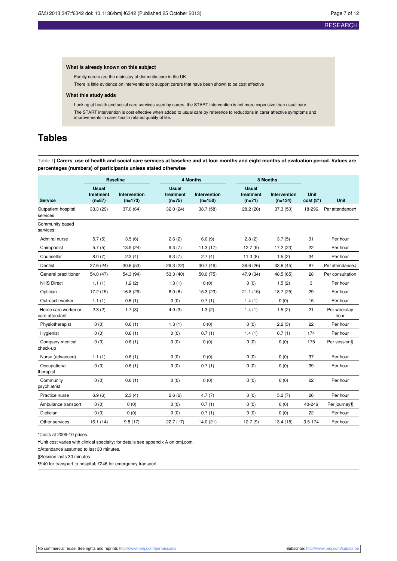#### **What is already known on this subject**

Family carers are the mainstay of dementia care in the UK

There is little evidence on interventions to support carers that have been shown to be cost effective

#### **What this study adds**

Looking at health and social care services used by carers, the START intervention is not more expensive than usual care The START intervention is cost effective when added to usual care by reference to reductions in carer affective symptoms and improvements in carer health related quality of life.

# <span id="page-7-0"></span>**Tables**

Table 1| Carers' use of health and social care services at baseline and at four months and eight months of evaluation period. Values are **percentages (numbers) of participants unless stated otherwise**

|                                       | <b>Baseline</b>                       |                           |                                       | <b>4 Months</b>           |                                       | 8 Months                         |                              |                             |
|---------------------------------------|---------------------------------------|---------------------------|---------------------------------------|---------------------------|---------------------------------------|----------------------------------|------------------------------|-----------------------------|
| <b>Service</b>                        | <b>Usual</b><br>treatment<br>$(n=87)$ | Intervention<br>$(n=173)$ | <b>Usual</b><br>treatment<br>$(n=75)$ | Intervention<br>$(n=150)$ | <b>Usual</b><br>treatment<br>$(n=71)$ | <b>Intervention</b><br>$(n=134)$ | Unit<br>$cost(\mathbf{E}^*)$ | Unit                        |
| Outpatient hospital<br>services       | 33.3 (29)                             | 37.0 (64)                 | 32.0 (24)                             | 38.7 (58)                 | 28.2 (20)                             | 37.3 (50)                        | 18-296                       | Per attendance <sup>+</sup> |
| Community based<br>services:          |                                       |                           |                                       |                           |                                       |                                  |                              |                             |
| Admiral nurse                         | 5.7(5)                                | 3.5(6)                    | 2.6(2)                                | 6.0(9)                    | 2.8(2)                                | 3.7(5)                           | 31                           | Per hour                    |
| Chiropodist                           | 5.7(5)                                | 13.9 (24)                 | 9.3(7)                                | 11.3(17)                  | 12.7(9)                               | 17.2 (23)                        | 22                           | Per hour                    |
| Counsellor                            | 8.0(7)                                | 2.3(4)                    | 9.3(7)                                | 2.7(4)                    | 11.3(8)                               | 1.5(2)                           | 34                           | Per hour                    |
| Dentist                               | 27.6 (24)                             | 30.6(53)                  | 29.3 (22)                             | 30.7(46)                  | 36.6(26)                              | 33.6 (45)                        | 87                           | Per attendance <sup>+</sup> |
| General practitioner                  | 54.0 (47)                             | 54.3 (94)                 | 53.3 (40)                             | 50.0(75)                  | 47.9 (34)                             | 48.5 (65)                        | 28                           | Per consultation            |
| <b>NHS Direct</b>                     | 1.1(1)                                | 1.2(2)                    | 1.3(1)                                | 0(0)                      | 0(0)                                  | 1.5(2)                           | 3                            | Per hour                    |
| Optician                              | 17.2 (15)                             | 16.8 (29)                 | 8.0(6)                                | 15.3(23)                  | 21.1(15)                              | 18.7 (25)                        | 29                           | Per hour                    |
| Outreach worker                       | 1.1(1)                                | 0.6(1)                    | 0(0)                                  | 0.7(1)                    | 1.4(1)                                | 0(0)                             | 15                           | Per hour                    |
| Home care worker or<br>care attendant | 2.3(2)                                | 1.7(3)                    | 4.0(3)                                | 1.3(2)                    | 1.4(1)                                | 1.5(2)                           | 21                           | Per weekday<br>hour         |
| Physiotherapist                       | 0(0)                                  | 0.6(1)                    | 1.3(1)                                | 0(0)                      | 0(0)                                  | 2.2(3)                           | 22                           | Per hour                    |
| Hygienist                             | 0(0)                                  | 0.6(1)                    | 0(0)                                  | 0.7(1)                    | 1.4(1)                                | 0.7(1)                           | 174                          | Per hour                    |
| Company medical<br>check-up           | 0(0)                                  | 0.6(1)                    | 0(0)                                  | 0(0)                      | 0(0)                                  | 0(0)                             | 175                          | Per session§                |
| Nurse (advanced)                      | 1.1(1)                                | 0.6(1)                    | 0(0)                                  | 0(0)                      | 0(0)                                  | 0(0)                             | 37                           | Per hour                    |
| Occupational<br>therapist             | 0(0)                                  | 0.6(1)                    | 0(0)                                  | 0.7(1)                    | 0(0)                                  | 0(0)                             | 39                           | Per hour                    |
| Community<br>psychiatrist             | 0(0)                                  | 0.6(1)                    | 0(0)                                  | 0(0)                      | 0(0)                                  | 0(0)                             | 22                           | Per hour                    |
| Practice nurse                        | 6.9(6)                                | 2.3(4)                    | 2.6(2)                                | 4.7(7)                    | 0(0)                                  | 5.2(7)                           | 26                           | Per hour                    |
| Ambulance transport                   | 0(0)                                  | 0(0)                      | 0(0)                                  | 0.7(1)                    | 0(0)                                  | 0(0)                             | 40-246                       | Per journey¶                |
| Dietician                             | 0(0)                                  | 0(0)                      | 0(0)                                  | 0.7(1)                    | 0(0)                                  | 0(0)                             | 22                           | Per hour                    |
| Other services                        | 16.1(14)                              | 9.8(17)                   | 22.7(17)                              | 14.0(21)                  | 12.7(9)                               | 13.4(18)                         | $3.5 - 174$                  | Per hour                    |

\*Costs at 2009-10 prices.

†Unit cost varies with clinical specialty; for details see appendix A on bmj.com.

‡Attendance assumed to last 30 minutes.

§Session lasts 30 minutes.

¶£40 for transport to hospital; £246 for emergency transport.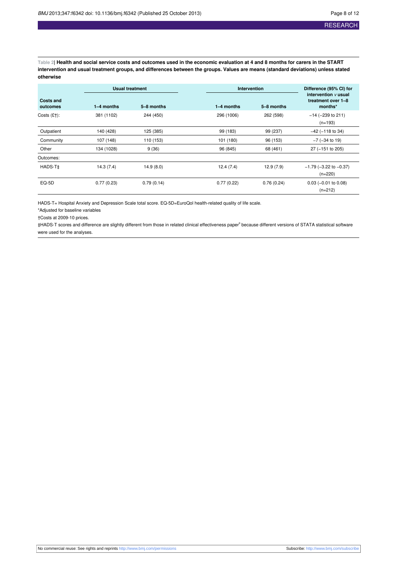<span id="page-8-0"></span>Table 2| Health and social service costs and outcomes used in the economic evaluation at 4 and 8 months for carers in the START intervention and usual treatment groups, and differences between the groups. Values are means (standard deviations) unless stated **otherwise**

|                              | <b>Usual treatment</b> |            |              | <b>Intervention</b> |                                                           |  |
|------------------------------|------------------------|------------|--------------|---------------------|-----------------------------------------------------------|--|
| <b>Costs and</b><br>outcomes | $1-4$ months           | 5-8 months | $1-4$ months | 5-8 months          | intervention $\nu$ usual<br>treatment over 1-8<br>months* |  |
| Costs $(E1)$ :               | 381 (1102)             | 244 (450)  | 296 (1006)   | 262 (598)           | $-14$ ( $-239$ to 211)<br>$(n=193)$                       |  |
| Outpatient                   | 140 (428)              | 125 (385)  | 99 (183)     | 99 (237)            | $-42$ ( $-118$ to 34)                                     |  |
| Community                    | 107 (148)              | 110 (153)  | 101 (180)    | 96 (153)            | $-7$ ( $-34$ to 19)                                       |  |
| Other                        | 134 (1028)             | 9(36)      | 96 (845)     | 68 (461)            | 27 (-151 to 205)                                          |  |
| Outcomes:                    |                        |            |              |                     |                                                           |  |
| HADS-T‡                      | 14.3(7.4)              | 14.9(8.0)  | 12.4(7.4)    | 12.9(7.9)           | $-1.79$ ( $-3.22$ to $-0.37$ )<br>$(n=220)$               |  |
| EQ-5D                        | 0.77(0.23)             | 0.79(0.14) | 0.77(0.22)   | 0.76(0.24)          | $0.03$ (-0.01 to 0.08)<br>$(n=212)$                       |  |

HADS-T= Hospital Anxiety and Depression Scale total score. EQ-5D=EuroQol health-related quality of life scale.

\*Adjusted for baseline variables

†Costs at 2009-10 prices.

‡HADS-T scores and difference are slightly different from those in related clinical effectiveness paper 9 because different versions of STATA statistical software were used for the analyses.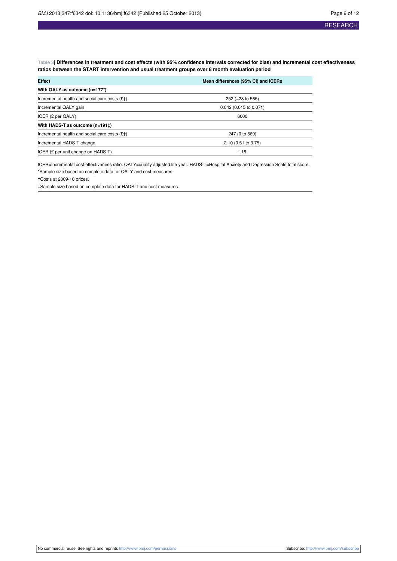<span id="page-9-0"></span>Table 3| Differences in treatment and cost effects (with 95% confidence intervals corrected for bias) and incremental cost effectiveness **ratios between the START intervention and usual treatment groups over 8 month evaluation period**

| <b>Effect</b>                                   | Mean differences (95% CI) and ICERs |  |  |
|-------------------------------------------------|-------------------------------------|--|--|
| With QALY as outcome $(n=177^*)$                |                                     |  |  |
| Incremental health and social care costs $(E+)$ | 252 (-28 to 565)                    |  |  |
| Incremental QALY gain                           | $0.042$ (0.015 to 0.071)            |  |  |
| ICER $(E \text{ per QALY})$                     | 6000                                |  |  |
| With HADS-T as outcome (n=191‡)                 |                                     |  |  |
| Incremental health and social care costs $(E+)$ | 247 (0 to 569)                      |  |  |
| Incremental HADS-T change                       | 2.10 (0.51 to 3.75)                 |  |  |
| ICER (£ per unit change on HADS-T)              | 118                                 |  |  |

ICER=Incremental cost effectiveness ratio. QALY=quality adjusted life year. HADS-T=Hospital Anxiety and Depression Scale total score. \*Sample size based on complete data for QALY and cost measures.

†Costs at 2009-10 prices.

‡Sample size based on complete data for HADS-T and cost measures.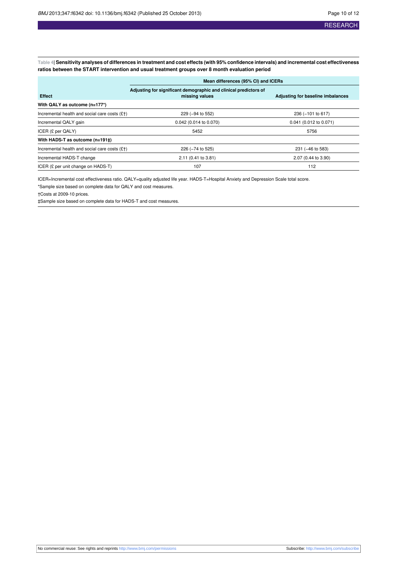<span id="page-10-0"></span>Table 4| Sensitivity analyses of differences in treatment and cost effects (with 95% confidence intervals) and incremental cost effectiveness **ratios between the START intervention and usual treatment groups over 8 month evaluation period**

|                                                 | Mean differences (95% CI) and ICERs                                                |                                   |  |  |  |
|-------------------------------------------------|------------------------------------------------------------------------------------|-----------------------------------|--|--|--|
| <b>Effect</b>                                   | Adjusting for significant demographic and clinical predictors of<br>missing values | Adjusting for baseline imbalances |  |  |  |
| With QALY as outcome (n=177*)                   |                                                                                    |                                   |  |  |  |
| Incremental health and social care costs $(f+)$ | 229 (-94 to 552)                                                                   | 236 (-101 to 617)                 |  |  |  |
| Incremental QALY gain                           | 0.042 (0.014 to 0.070)                                                             | $0.041$ (0.012 to 0.071)          |  |  |  |
| ICER (£ per QALY)                               | 5452                                                                               | 5756                              |  |  |  |
| With HADS-T as outcome (n=191‡)                 |                                                                                    |                                   |  |  |  |
| Incremental health and social care costs $(f+)$ | 226 (-74 to 525)                                                                   | 231 (-46 to 583)                  |  |  |  |
| Incremental HADS-T change                       | 2.11 (0.41 to 3.81)                                                                | 2.07 (0.44 to 3.90)               |  |  |  |
| ICER (£ per unit change on HADS-T)              | 107                                                                                | 112                               |  |  |  |

ICER=Incremental cost effectiveness ratio. QALY=quality adjusted life year. HADS-T=Hospital Anxiety and Depression Scale total score.

\*Sample size based on complete data for QALY and cost measures.

†Costs at 2009-10 prices.

‡Sample size based on complete data for HADS-T and cost measures.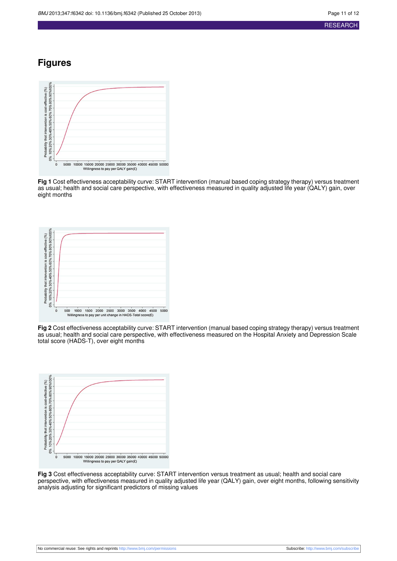#### **RESEARCH**

## **Figures**

<span id="page-11-0"></span>

**Fig 1** Cost effectiveness acceptability curve: START intervention (manual based coping strategy therapy) versus treatment as usual; health and social care perspective, with effectiveness measured in quality adjusted life year (QALY) gain, over eight months

<span id="page-11-1"></span>

<span id="page-11-2"></span>**Fig 2** Cost effectiveness acceptability curve: START intervention (manual based coping strategy therapy) versus treatment as usual; health and social care perspective, with effectiveness measured on the Hospital Anxiety and Depression Scale total score (HADS-T), over eight months



**Fig 3** Cost effectiveness acceptability curve: START intervention versus treatment as usual; health and social care perspective, with effectiveness measured in quality adjusted life year (QALY) gain, over eight months, following sensitivity analysis adjusting for significant predictors of missing values